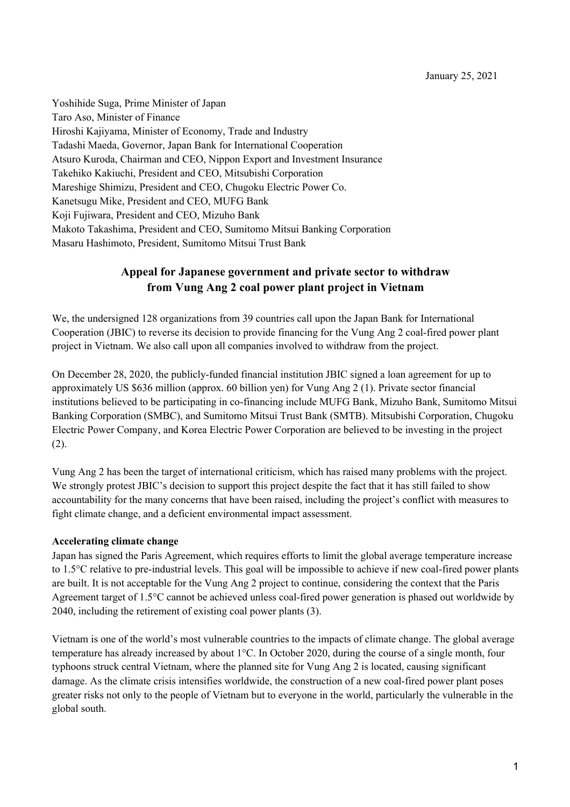Yoshihide Suga, Prime Minister of Japan Taro Aso, Minister of Finance Hiroshi Kajiyama, Minister of Economy, Trade and Industry Tadashi Maeda, Governor, Japan Bank for International Cooperation Atsuro Kuroda, Chairman and CEO, Nippon Export and Investment Insurance Takehiko Kakiuchi, President and CEO, Mitsubishi Corporation Mareshige Shimizu, President and CEO, Chugoku Electric Power Co. Kanetsugu Mike, President and CEO, MUFG Bank Koji Fujiwara, President and CEO, Mizuho Bank Makoto Takashima, President and CEO, Sumitomo Mitsui Banking Corporation Masaru Hashimoto, President, Sumitomo Mitsui Trust Bank

# **Appeal for Japanese government and private sector to withdraw from Vung Ang 2 coal power plant project in Vietnam**

We, the undersigned 128 organizations from 39 countries call upon the Japan Bank for International Cooperation (JBIC) to reverse its decision to provide financing for the Vung Ang 2 coal-fired power plant project in Vietnam. We also call upon all companies involved to withdraw from the project.

On December 28, 2020, the publicly-funded financial institution JBIC signed a loan agreement for up to approximately US \$636 million (approx. 60 billion yen) for Vung Ang 2 (1). Private sector financial institutions believed to be participating in co-financing include MUFG Bank, Mizuho Bank, Sumitomo Mitsui Banking Corporation (SMBC), and Sumitomo Mitsui Trust Bank (SMTB). Mitsubishi Corporation, Chugoku Electric Power Company, and Korea Electric Power Corporation are believed to be investing in the project (2).

Vung Ang 2 has been the target of international criticism, which has raised many problems with the project. We strongly protest JBIC's decision to support this project despite the fact that it has still failed to show accountability for the many concerns that have been raised, including the project's conflict with measures to fight climate change, and a deficient environmental impact assessment.

#### **Accelerating climate change**

Japan has signed the Paris Agreement, which requires efforts to limit the global average temperature increase to 1.5°C relative to pre-industrial levels. This goal will be impossible to achieve if new coal-fired power plants are built. It is not acceptable for the Vung Ang 2 project to continue, considering the context that the Paris Agreement target of 1.5°C cannot be achieved unless coal-fired power generation is phased out worldwide by 2040, including the retirement of existing coal power plants (3).

Vietnam is one of the world's most vulnerable countries to the impacts of climate change. The global average temperature has already increased by about 1°C. In October 2020, during the course of a single month, four typhoons struck central Vietnam, where the planned site for Vung Ang 2 is located, causing significant damage. As the climate crisis intensifies worldwide, the construction of a new coal-fired power plant poses greater risks not only to the people of Vietnam but to everyone in the world, particularly the vulnerable in the global south.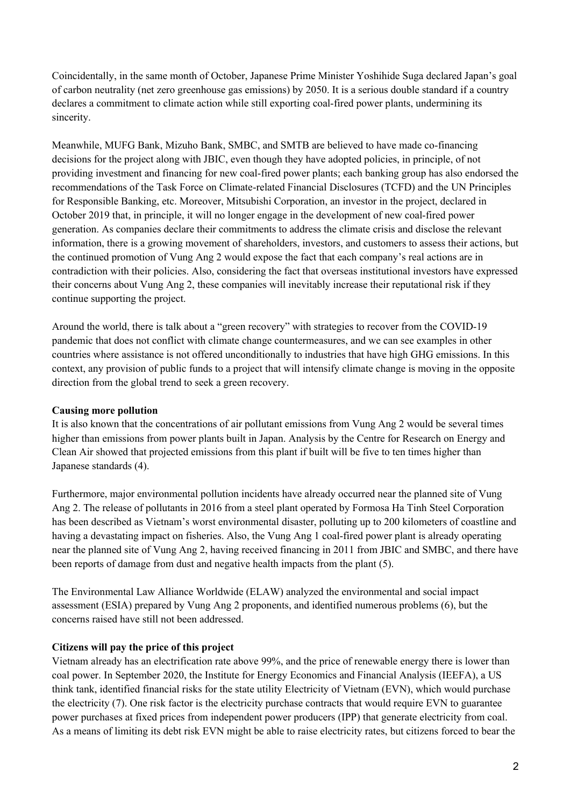Coincidentally, in the same month of October, Japanese Prime Minister Yoshihide Suga declared Japan's goal of carbon neutrality (net zero greenhouse gas emissions) by 2050. It is a serious double standard if a country declares a commitment to climate action while still exporting coal-fired power plants, undermining its sincerity.

Meanwhile, MUFG Bank, Mizuho Bank, SMBC, and SMTB are believed to have made co-financing decisions for the project along with JBIC, even though they have adopted policies, in principle, of not providing investment and financing for new coal-fired power plants; each banking group has also endorsed the recommendations of the Task Force on Climate-related Financial Disclosures (TCFD) and the UN Principles for Responsible Banking, etc. Moreover, Mitsubishi Corporation, an investor in the project, declared in October 2019 that, in principle, it will no longer engage in the development of new coal-fired power generation. As companies declare their commitments to address the climate crisis and disclose the relevant information, there is a growing movement of shareholders, investors, and customers to assess their actions, but the continued promotion of Vung Ang 2 would expose the fact that each company's real actions are in contradiction with their policies. Also, considering the fact that overseas institutional investors have expressed their concerns about Vung Ang 2, these companies will inevitably increase their reputational risk if they continue supporting the project.

Around the world, there is talk about a "green recovery" with strategies to recover from the COVID-19 pandemic that does not conflict with climate change countermeasures, and we can see examples in other countries where assistance is not offered unconditionally to industries that have high GHG emissions. In this context, any provision of public funds to a project that will intensify climate change is moving in the opposite direction from the global trend to seek a green recovery.

## **Causing more pollution**

It is also known that the concentrations of air pollutant emissions from Vung Ang 2 would be several times higher than emissions from power plants built in Japan. Analysis by the Centre for Research on Energy and Clean Air showed that projected emissions from this plant if built will be five to ten times higher than Japanese standards (4).

Furthermore, major environmental pollution incidents have already occurred near the planned site of Vung Ang 2. The release of pollutants in 2016 from a steel plant operated by Formosa Ha Tinh Steel Corporation has been described as Vietnam's worst environmental disaster, polluting up to 200 kilometers of coastline and having a devastating impact on fisheries. Also, the Vung Ang 1 coal-fired power plant is already operating near the planned site of Vung Ang 2, having received financing in 2011 from JBIC and SMBC, and there have been reports of damage from dust and negative health impacts from the plant (5).

The Environmental Law Alliance Worldwide (ELAW) analyzed the environmental and social impact assessment (ESIA) prepared by Vung Ang 2 proponents, and identified numerous problems (6), but the concerns raised have still not been addressed.

## **Citizens will pay the price of this project**

Vietnam already has an electrification rate above 99%, and the price of renewable energy there is lower than coal power. In September 2020, the Institute for Energy Economics and Financial Analysis (IEEFA), a US think tank, identified financial risks for the state utility Electricity of Vietnam (EVN), which would purchase the electricity (7). One risk factor is the electricity purchase contracts that would require EVN to guarantee power purchases at fixed prices from independent power producers (IPP) that generate electricity from coal. As a means of limiting its debt risk EVN might be able to raise electricity rates, but citizens forced to bear the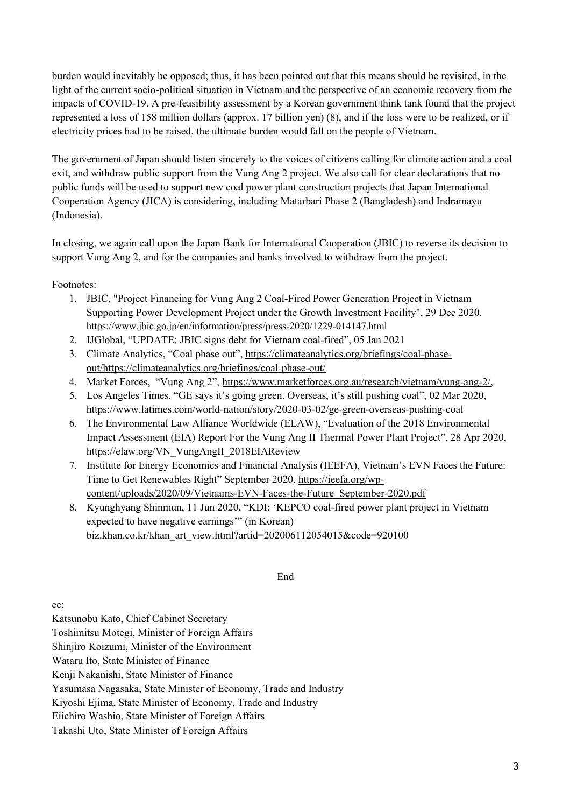burden would inevitably be opposed; thus, it has been pointed out that this means should be revisited, in the light of the current socio-political situation in Vietnam and the perspective of an economic recovery from the impacts of COVID-19. A pre-feasibility assessment by a Korean government think tank found that the project represented a loss of 158 million dollars (approx. 17 billion yen) (8), and if the loss were to be realized, or if electricity prices had to be raised, the ultimate burden would fall on the people of Vietnam.

The government of Japan should listen sincerely to the voices of citizens calling for climate action and a coal exit, and withdraw public support from the Vung Ang 2 project. We also call for clear declarations that no public funds will be used to support new coal power plant construction projects that Japan International Cooperation Agency (JICA) is considering, including Matarbari Phase 2 (Bangladesh) and Indramayu (Indonesia).

In closing, we again call upon the Japan Bank for International Cooperation (JBIC) to reverse its decision to support Vung Ang 2, and for the companies and banks involved to withdraw from the project.

## Footnotes:

- 1. JBIC, "Project Financing for Vung Ang 2 Coal-Fired Power Generation Project in Vietnam Supporting Power Development Project under the Growth Investment Facility", 29 Dec 2020, https://www.jbic.go.jp/en/information/press/press-2020/1229-014147.html
- 2. IJGlobal, "UPDATE: JBIC signs debt for Vietnam coal-fired", 05 Jan 2021
- 3. Climate Analytics, "Coal phase out", https://climateanalytics.org/briefings/coal-phaseout/https://climateanalytics.org/briefings/coal-phase-out/
- 4. Market Forces, "Vung Ang 2", https://www.marketforces.org.au/research/vietnam/vung-ang-2/,
- 5. Los Angeles Times, "GE says it's going green. Overseas, it's still pushing coal", 02 Mar 2020, https://www.latimes.com/world-nation/story/2020-03-02/ge-green-overseas-pushing-coal
- 6. The Environmental Law Alliance Worldwide (ELAW), "Evaluation of the 2018 Environmental Impact Assessment (EIA) Report For the Vung Ang II Thermal Power Plant Project", 28 Apr 2020, https://elaw.org/VN\_VungAngII\_2018EIAReview
- 7. Institute for Energy Economics and Financial Analysis (IEEFA), Vietnam's EVN Faces the Future: Time to Get Renewables Right" September 2020, https://ieefa.org/wpcontent/uploads/2020/09/Vietnams-EVN-Faces-the-Future\_September-2020.pdf
- 8. Kyunghyang Shinmun, 11 Jun 2020, "KDI: 'KEPCO coal-fired power plant project in Vietnam expected to have negative earnings'" (in Korean) biz.khan.co.kr/khan\_art\_view.html?artid=202006112054015&code=920100

## End

cc:

Katsunobu Kato, Chief Cabinet Secretary

Toshimitsu Motegi, Minister of Foreign Affairs

Shinjiro Koizumi, Minister of the Environment

Wataru Ito, State Minister of Finance

Kenji Nakanishi, State Minister of Finance

Yasumasa Nagasaka, State Minister of Economy, Trade and Industry

Kiyoshi Ejima, State Minister of Economy, Trade and Industry

Eiichiro Washio, State Minister of Foreign Affairs

Takashi Uto, State Minister of Foreign Affairs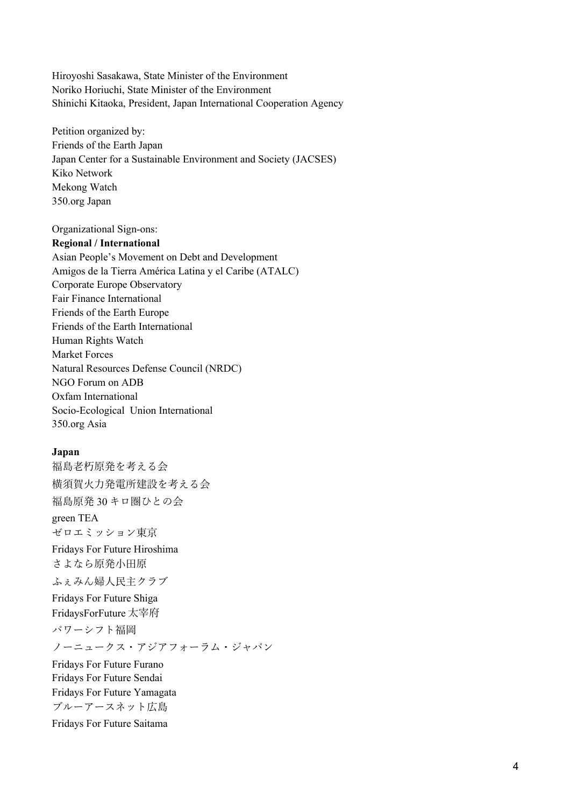Hiroyoshi Sasakawa, State Minister of the Environment Noriko Horiuchi, State Minister of the Environment Shinichi Kitaoka, President, Japan International Cooperation Agency

Petition organized by: Friends of the Earth Japan Japan Center for a Sustainable Environment and Society (JACSES) Kiko Network Mekong Watch 350.org Japan

Organizational Sign-ons:

#### **Regional / International**

Asian People's Movement on Debt and Development Amigos de la Tierra América Latina y el Caribe (ATALC) Corporate Europe Observatory Fair Finance International Friends of the Earth Europe Friends of the Earth International Human Rights Watch Market Forces Natural Resources Defense Council (NRDC) NGO Forum on ADB Oxfam International Socio-Ecological Union International 350.org Asia

#### **Japan**

福島老朽原発を考える会 横須賀⽕⼒発電所建設を考える会 福島原発 30 キロ圏ひとの会 green TEA ゼロエミッション東京 Fridays For Future Hiroshima さよなら原発小田原 ふぇみん婦⼈⺠主クラブ Fridays For Future Shiga FridaysForFuture 太宰府 パワーシフト福岡 ノーニュークス・アジアフォーラム・ジャパン Fridays For Future Furano Fridays For Future Sendai Fridays For Future Yamagata ブルーアースネット広島 Fridays For Future Saitama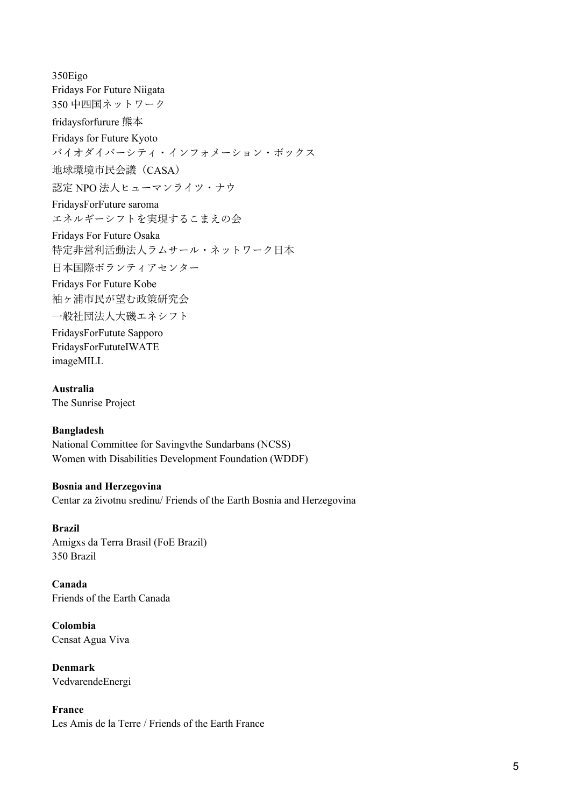350Eigo Fridays For Future Niigata 350 中四国ネットワーク fridaysforfurure 熊本 Fridays for Future Kyoto バイオダイバーシティ・インフォメーション・ボックス 地球環境市⺠会議(CASA) 認定 NPO 法⼈ヒューマンライツ・ナウ FridaysForFuture saroma エネルギーシフトを実現するこまえの会 Fridays For Future Osaka 特定非営利活動法人ラムサール・ネットワーク日本 日本国際ボランティアセンター Fridays For Future Kobe 袖ヶ浦市⺠が望む政策研究会 ⼀般社団法⼈⼤磯エネシフト FridaysForFutute Sapporo

FridaysForFututeIWATE imageMILL

**Australia** The Sunrise Project

#### **Bangladesh**

National Committee for Savingvthe Sundarbans (NCSS) Women with Disabilities Development Foundation (WDDF)

### **Bosnia and Herzegovina**

Centar za životnu sredinu/ Friends of the Earth Bosnia and Herzegovina

#### **Brazil**

Amigxs da Terra Brasil (FoE Brazil) 350 Brazil

**Canada** Friends of the Earth Canada

**Colombia** Censat Agua Viva

**Denmark** VedvarendeEnergi

**France** Les Amis de la Terre / Friends of the Earth France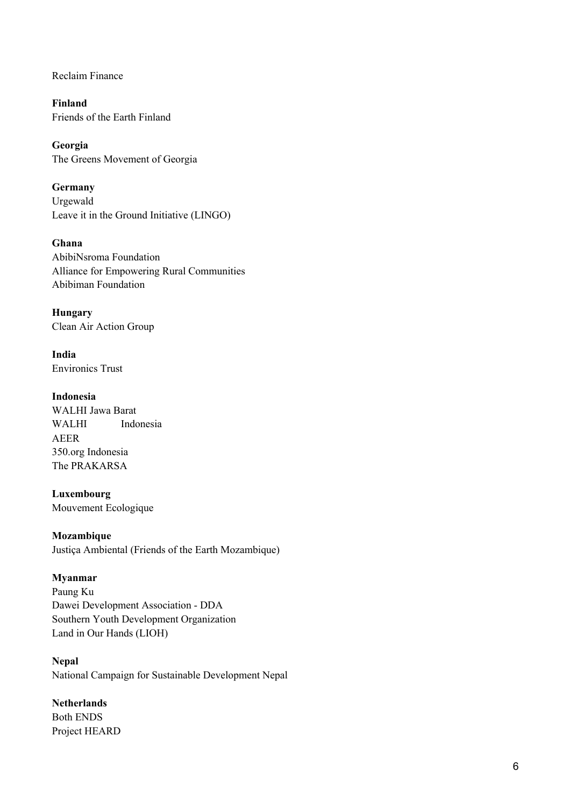Reclaim Finance

**Finland** Friends of the Earth Finland

**Georgia** The Greens Movement of Georgia

**Germany** Urgewald Leave it in the Ground Initiative (LINGO)

**Ghana**  AbibiNsroma Foundation Alliance for Empowering Rural Communities Abibiman Foundation

**Hungary** Clean Air Action Group

**India** Environics Trust

**Indonesia**  WALHI Jawa Barat WALHI Indonesia AEER 350.org Indonesia The PRAKARSA

**Luxembourg** Mouvement Ecologique

**Mozambique** Justiça Ambiental (Friends of the Earth Mozambique)

## **Myanmar**

Paung Ku Dawei Development Association - DDA Southern Youth Development Organization Land in Our Hands (LIOH)

**Nepal** National Campaign for Sustainable Development Nepal

## **Netherlands**

Both ENDS Project HEARD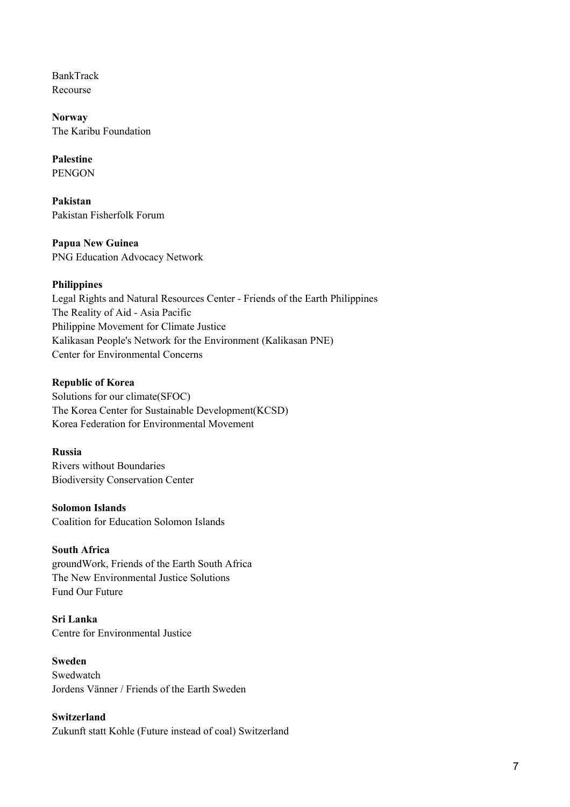BankTrack Recourse

**Norway** The Karibu Foundation

**Palestine** PENGON

**Pakistan** Pakistan Fisherfolk Forum

**Papua New Guinea** PNG Education Advocacy Network

## **Philippines**

Legal Rights and Natural Resources Center - Friends of the Earth Philippines The Reality of Aid - Asia Pacific Philippine Movement for Climate Justice Kalikasan People's Network for the Environment (Kalikasan PNE) Center for Environmental Concerns

## **Republic of Korea**

Solutions for our climate(SFOC) The Korea Center for Sustainable Development(KCSD) Korea Federation for Environmental Movement

## **Russia**

Rivers without Boundaries Biodiversity Conservation Center

## **Solomon Islands**

Coalition for Education Solomon Islands

## **South Africa**

groundWork, Friends of the Earth South Africa The New Environmental Justice Solutions Fund Our Future

**Sri Lanka** Centre for Environmental Justice

## **Sweden**

Swedwatch Jordens Vänner / Friends of the Earth Sweden

## **Switzerland**

Zukunft statt Kohle (Future instead of coal) Switzerland